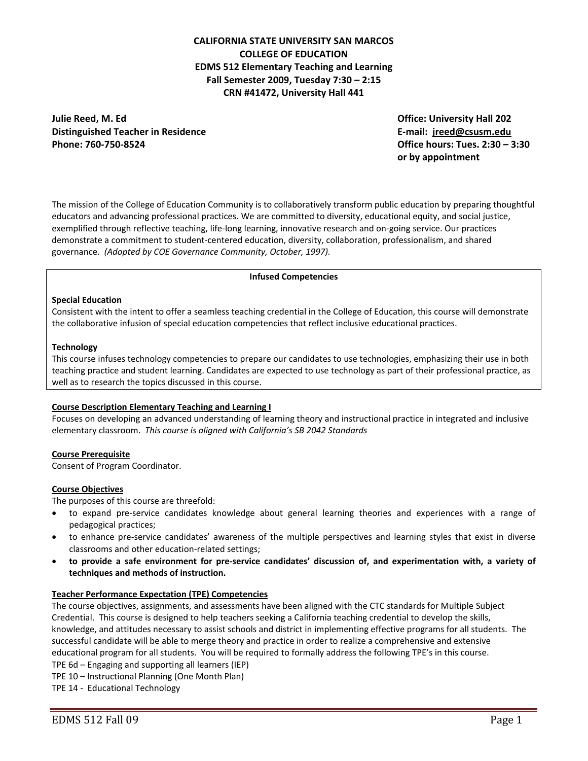# **CALIFORNIA STATE UNIVERSITY SAN MARCOS COLLEGE OF EDUCATION EDMS 512 Elementary Teaching and Learning Fall Semester 2009, Tuesday 7:30 – 2:15 CRN #41472, University Hall 441**

 **Julie Reed, M. Ed Office: University Hall 202 Distinguished Teacher in Residence E‐mail: jreed@csusm.edu Phone: 760‐750‐8524 Office hours: Tues. 2:30 – 3:30**

 $\alpha$  by  $\alpha$  by  $\alpha$ **or by appointment**

 The mission of the College of Education Community is to collaboratively transform public education by preparing thoughtful educators and advancing professional practices. We are committed to diversity, educational equity, and social justice, exemplified through reflective teaching, life‐long learning, innovative research and on‐going service. Our practices demonstrate a commitment to student‐centered education, diversity, collaboration, professionalism, and shared  governance. *(Adopted by COE Governance Community, October, 1997).*

#### **Infused Competencies**

#### **Special Education**

 Consistent with the intent to offer a seamless teaching credential in the College of Education, this course will demonstrate the collaborative infusion of special education competencies that reflect inclusive educational practices.

#### **Technology**

 This course infuses technology competencies to prepare our candidates to use technologies, emphasizing their use in both teaching practice and student learning. Candidates are expected to use technology as part of their professional practice, as well as to research the topics discussed in this course.

### **Course Description Elementary Teaching and Learning I**

 Focuses on developing an advanced understanding of learning theory and instructional practice in integrated and inclusive  elementary classroom. *This course is aligned with California's SB 2042 Standards*

#### **Course Prerequisite**

Consent of Program Coordinator.

#### **Course Objectives**

The purposes of this course are threefold:

- to expand pre-service candidates knowledge about general learning theories and experiences with a range of pedagogical practices;
- to enhance pre-service candidates' awareness of the multiple perspectives and learning styles that exist in diverse classrooms and other education‐related settings;
- to provide a safe environment for pre-service candidates' discussion of, and experimentation with, a variety of  **techniques and methods of instruction.**

#### **Teacher Performance Expectation (TPE) Competencies**

 The course objectives, assignments, and assessments have been aligned with the CTC standards for Multiple Subject Credential. This course is designed to help teachers seeking a California teaching credential to develop the skills, knowledge, and attitudes necessary to assist schools and district in implementing effective programs for all students. The successful candidate will be able to merge theory and practice in order to realize a comprehensive and extensive educational program for all students. You will be required to formally address the following TPE's in this course. TPE 6d – Engaging and supporting all learners (IEP)

TPE 10 – Instructional Planning (One Month Plan)

TPE 14 ‐ Educational Technology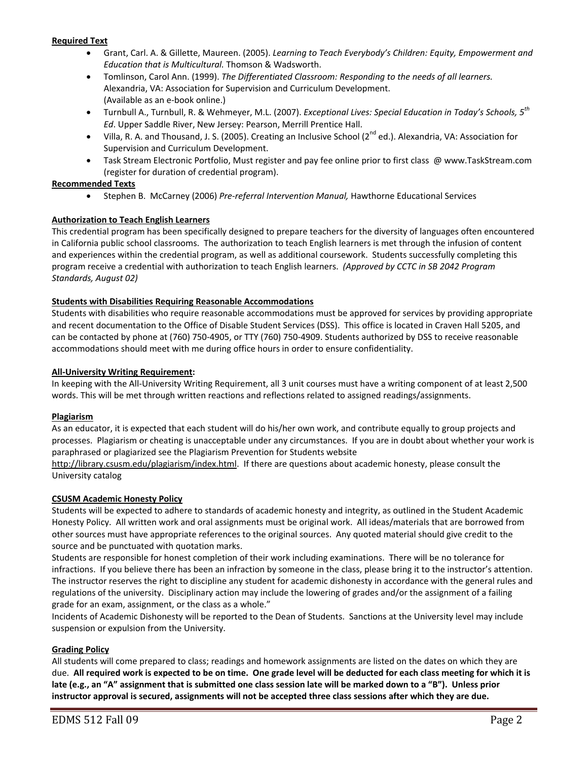### **Required Text**

- • Grant, Carl. A. & Gillette, Maureen. (2005). *Learning to Teach Everybody's Children: Equity, Empowerment and Education that is Multicultural.* Thomson & Wadsworth.
- • Tomlinson, Carol Ann. (1999). *The Differentiated Classroom: Responding to the needs of all learners.* Alexandria, VA: Association for Supervision and Curriculum Development. (Available as an e‐book online.)
- • Turnbull A., Turnbull, R. & Wehmeyer, M.L. (2007). *Exceptional Lives: Special Education in Today's Schools, 5th Ed*. Upper Saddle River, New Jersey: Pearson, Merrill Prentice Hall.
- Villa, R. A. and Thousand, J. S. (2005). Creating an Inclusive School (2<sup>nd</sup> ed.). Alexandria, VA: Association for Supervision and Curriculum Development.
- • Task Stream Electronic Portfolio, Must register and pay fee online prior to first class @ www.TaskStream.com (register for duration of credential program).

### **Recommended Texts**

 • Stephen B. McCarney (2006) *Pre‐referral Intervention Manual,* Hawthorne Educational Services

## **Authorization to Teach English Learners**

 This credential program has been specifically designed to prepare teachers for the diversity of languages often encountered in California public school classrooms. The authorization to teach English learners is met through the infusion of content and experiences within the credential program, as well as additional coursework. Students successfully completing this  program receive a credential with authorization to teach English learners. *(Approved by CCTC in SB 2042 Program Standards, August 02)*

## **Students with Disabilities Requiring Reasonable Accommodations**

 Students with disabilities who require reasonable accommodations must be approved for services by providing appropriate and recent documentation to the Office of Disable Student Services (DSS). This office is located in Craven Hall 5205, and can be contacted by phone at (760) 750‐4905, or TTY (760) 750‐4909. Students authorized by DSS to receive reasonable accommodations should meet with me during office hours in order to ensure confidentiality.

#### **All‐University Writing Requirement:**

 In keeping with the All‐University Writing Requirement, all 3 unit courses must have a writing component of at least 2,500 words. This will be met through written reactions and reflections related to assigned readings/assignments.

#### **Plagiarism**

 As an educator, it is expected that each student will do his/her own work, and contribute equally to group projects and processes. Plagiarism or cheating is unacceptable under any circumstances. If you are in doubt about whether your work is paraphrased or plagiarized see the Plagiarism Prevention for Students website

 http://library.csusm.edu/plagiarism/index.html. If there are questions about academic honesty, please consult the University catalog

#### **CSUSM Academic Honesty Policy**

 Students will be expected to adhere to standards of academic honesty and integrity, as outlined in the Student Academic Honesty Policy. All written work and oral assignments must be original work. All ideas/materials that are borrowed from other sources must have appropriate references to the original sources. Any quoted material should give credit to the source and be punctuated with quotation marks.

 Students are responsible for honest completion of their work including examinations. There will be no tolerance for infractions. If you believe there has been an infraction by someone in the class, please bring it to the instructor's attention. The instructor reserves the right to discipline any student for academic dishonesty in accordance with the general rules and regulations of the university. Disciplinary action may include the lowering of grades and/or the assignment of a failing grade for an exam, assignment, or the class as a whole."

 Incidents of Academic Dishonesty will be reported to the Dean of Students. Sanctions at the University level may include suspension or expulsion from the University.

#### **Grading Policy**

 All students will come prepared to class; readings and homework assignments are listed on the dates on which they are due. All required work is expected to be on time. One grade level will be deducted for each class meeting for which it is late (e.g., an "A" assignment that is submitted one class session late will be marked down to a "B"). Unless prior instructor approval is secured, assignments will not be accepted three class sessions after which they are due.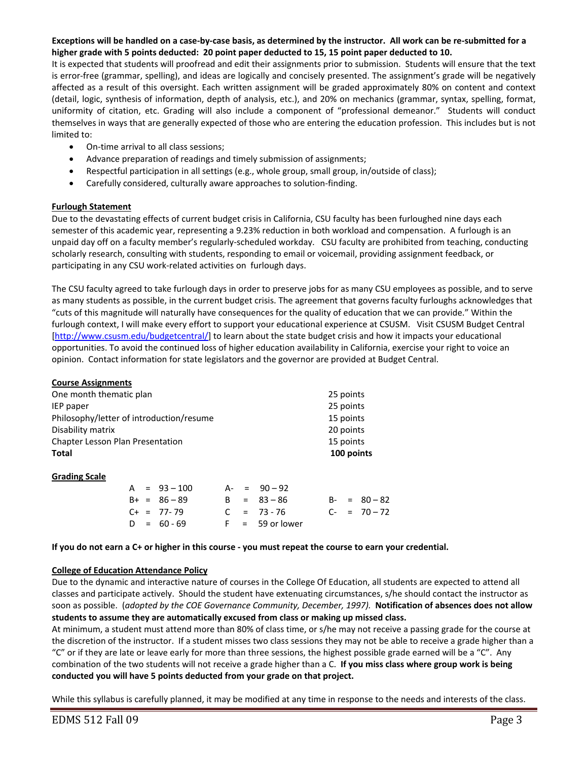## Exceptions will be handled on a case-by-case basis, as determined by the instructor. All work can be re-submitted for a higher grade with 5 points deducted: 20 point paper deducted to 15, 15 point paper deducted to 10.

 It is expected that students will proofread and edit their assignments prior to submission. Students will ensure that the text is error‐free (grammar, spelling), and ideas are logically and concisely presented. The assignment's grade will be negatively affected as a result of this oversight. Each written assignment will be graded approximately 80% on content and context (detail, logic, synthesis of information, depth of analysis, etc.), and 20% on mechanics (grammar, syntax, spelling, format, uniformity of citation, etc. Grading will also include a component of "professional demeanor." Students will conduct themselves in ways that are generally expected of those who are entering the education profession. This includes but is not limited to:

- On-time arrival to all class sessions;
- Advance preparation of readings and timely submission of assignments;
- Respectful participation in all settings (e.g., whole group, small group, in/outside of class);
- Carefully considered, culturally aware approaches to solution‐finding.

#### **Furlough Statement**

 Due to the devastating effects of current budget crisis in California, CSU faculty has been furloughed nine days each semester of this academic year, representing a 9.23% reduction in both workload and compensation. A furlough is an unpaid day off on a faculty member's regularly‐scheduled workday. CSU faculty are prohibited from teaching, conducting scholarly research, consulting with students, responding to email or voicemail, providing assignment feedback, or participating in any CSU work‐related activities on furlough days.

 The CSU faculty agreed to take furlough days in order to preserve jobs for as many CSU employees as possible, and to serve as many students as possible, in the current budget crisis. The agreement that governs faculty furloughs acknowledges that "cuts of this magnitude will naturally have consequences for the quality of education that we can provide." Within the furlough context, I will make every effort to support your educational experience at CSUSM. Visit CSUSM Budget Central [http://www.csusm.edu/budgetcentral/] to learn about the state budget crisis and how it impacts your educational opportunities. To avoid the continued loss of higher education availability in California, exercise your right to voice an opinion. Contact information for state legislators and the governor are provided at Budget Central.

#### **Course Assignments**

| One month thematic plan                  | 25 points  |
|------------------------------------------|------------|
| IEP paper                                | 25 points  |
| Philosophy/letter of introduction/resume | 15 points  |
| Disability matrix                        | 20 points  |
| <b>Chapter Lesson Plan Presentation</b>  | 15 points  |
| <b>Total</b>                             | 100 points |
|                                          |            |

#### **Grading Scale**

|  | A = 93-100     |  | $A - = 90 - 92$   |  |                 |
|--|----------------|--|-------------------|--|-----------------|
|  | $B+ = 86 - 89$ |  | $B = 83 - 86$     |  | $B - = 80 - 82$ |
|  | $C+ = 77-79$   |  | $C = 73 - 76$     |  | $C- = 70-72$    |
|  | $D = 60 - 69$  |  | $F = 59$ or lower |  |                 |

If you do not earn a C+ or higher in this course - you must repeat the course to earn your credential.

#### **College of Education Attendance Policy**

 Due to the dynamic and interactive nature of courses in the College Of Education, all students are expected to attend all classes and participate actively. Should the student have extenuating circumstances, s/he should contact the instructor as soon as possible. (adopted by the COE Governance Community, December, 1997). **Notification of absences does not allow** students to assume they are automatically excused from class or making up missed class.

 At minimum, a student must attend more than 80% of class time, or s/he may not receive a passing grade for the course at the discretion of the instructor. If a student misses two class sessions they may not be able to receive a grade higher than a "C" or if they are late or leave early for more than three sessions, the highest possible grade earned will be a "C". Any  combination of the two students will not receive a grade higher than a C. **If you miss class where group work is being conducted you will have 5 points deducted from your grade on that project.**

While this syllabus is carefully planned, it may be modified at any time in response to the needs and interests of the class.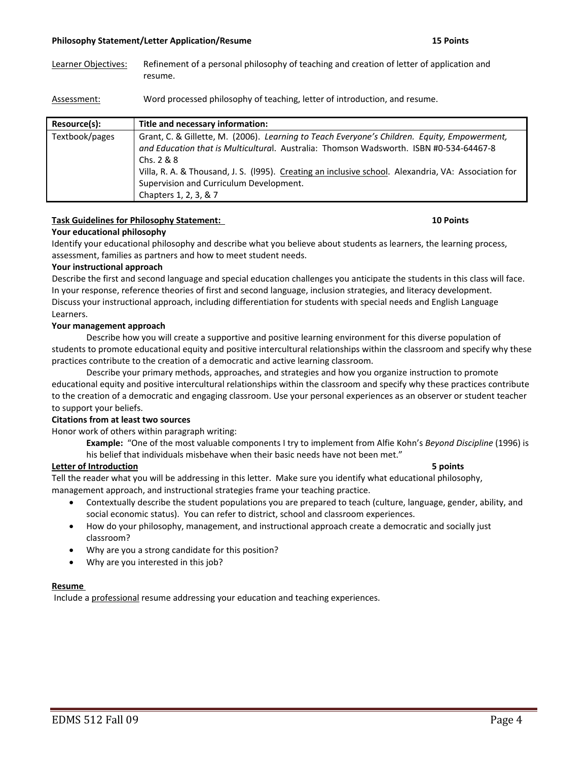#### **Philosophy Statement/Letter Application/Resume**

#### 15 Points

Learner Objectives: Refinement of a personal philosophy of teaching and creation of letter of application and resume.

Assessment: Word processed philosophy of teaching, letter of introduction, and resume.

| Resource(s):   | Title and necessary information:                                                                                                                                                                                                                                                                                                                                                   |
|----------------|------------------------------------------------------------------------------------------------------------------------------------------------------------------------------------------------------------------------------------------------------------------------------------------------------------------------------------------------------------------------------------|
| Textbook/pages | Grant, C. & Gillette, M. (2006). Learning to Teach Everyone's Children. Equity, Empowerment,<br>and Education that is Multicultural. Australia: Thomson Wadsworth. ISBN #0-534-64467-8<br>Chs. $2 & 8$<br>Villa, R. A. & Thousand, J. S. (1995). Creating an inclusive school. Alexandria, VA: Association for<br>Supervision and Curriculum Development.<br>Chapters 1, 2, 3, & 7 |

## **Task Guidelines for Philosophy Statement: 10 Points**

### **Your educational philosophy**

 Identify your educational philosophy and describe what you believe about students as learners, the learning process, assessment, families as partners and how to meet student needs.

#### **Your instructional approach**

 Describe the first and second language and special education challenges you anticipate the students in this class will face. In your response, reference theories of first and second language, inclusion strategies, and literacy development. Discuss your instructional approach, including differentiation for students with special needs and English Language Learners.

#### **Your management approach**

 Describe how you will create a supportive and positive learning environment for this diverse population of students to promote educational equity and positive intercultural relationships within the classroom and specify why these practices contribute to the creation of a democratic and active learning classroom.

 Describe your primary methods, approaches, and strategies and how you organize instruction to promote educational equity and positive intercultural relationships within the classroom and specify why these practices contribute to the creation of a democratic and engaging classroom. Use your personal experiences as an observer or student teacher to support your beliefs.

#### **Citations from at least two sources**

Honor work of others within paragraph writing:

  **Example:** "One of the most valuable components I try to implement from Alfie Kohn's *Beyond Discipline* (1996) is his belief that individuals misbehave when their basic needs have not been met."

#### **Letter of Introduction 5 points**

 Tell the reader what you will be addressing in this letter. Make sure you identify what educational philosophy, management approach, and instructional strategies frame your teaching practice.

- • Contextually describe the student populations you are prepared to teach (culture, language, gender, ability, and social economic status). You can refer to district, school and classroom experiences.
- How do your philosophy, management, and instructional approach create a democratic and socially just classroom?
- • Why are you a strong candidate for this position?

a sa kabilang sa kabupatèn Kabupatèn Kabupatèn Kabupatèn Kabupatèn Kabupatèn Kabupatèn Kabupatèn Kabupatèn Kab

• Why are you interested in this job?

#### **Resume**

Include a professional resume addressing your education and teaching experiences.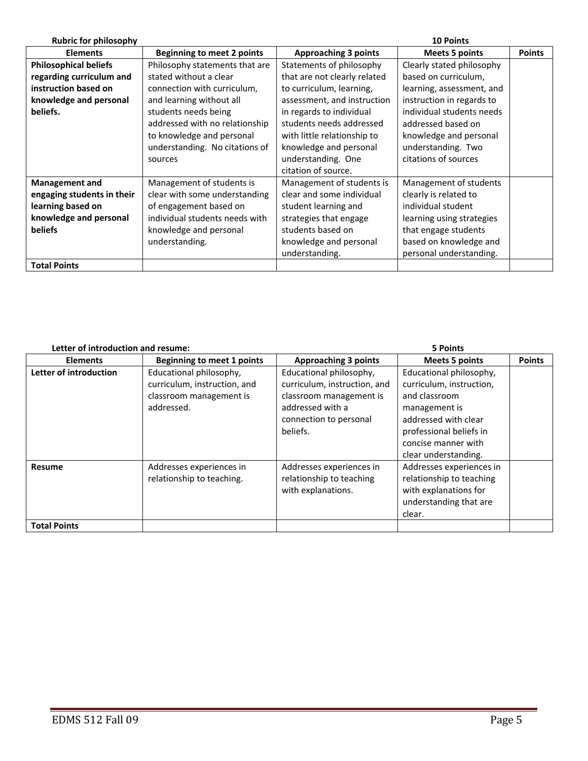| <b>Rubric for philosophy</b> |                                   |                              | <b>10 Points</b>          |               |
|------------------------------|-----------------------------------|------------------------------|---------------------------|---------------|
| <b>Elements</b>              | <b>Beginning to meet 2 points</b> | <b>Approaching 3 points</b>  | <b>Meets 5 points</b>     | <b>Points</b> |
| <b>Philosophical beliefs</b> | Philosophy statements that are    | Statements of philosophy     | Clearly stated philosophy |               |
| regarding curriculum and     | stated without a clear            | that are not clearly related | based on curriculum,      |               |
| instruction based on         | connection with curriculum,       | to curriculum, learning,     | learning, assessment, and |               |
| knowledge and personal       | and learning without all          | assessment, and instruction  | instruction in regards to |               |
| beliefs.                     | students needs being              | in regards to individual     | individual students needs |               |
|                              | addressed with no relationship    | students needs addressed     | addressed based on        |               |
|                              | to knowledge and personal         | with little relationship to  | knowledge and personal    |               |
|                              | understanding. No citations of    | knowledge and personal       | understanding. Two        |               |
|                              | sources                           | understanding. One           | citations of sources      |               |
|                              |                                   | citation of source.          |                           |               |
| <b>Management and</b>        | Management of students is         | Management of students is    | Management of students    |               |
| engaging students in their   | clear with some understanding     | clear and some individual    | clearly is related to     |               |
| learning based on            | of engagement based on            | student learning and         | individual student        |               |
| knowledge and personal       | individual students needs with    | strategies that engage       | learning using strategies |               |
| <b>beliefs</b>               | knowledge and personal            | students based on            | that engage students      |               |
|                              | understanding.                    | knowledge and personal       | based on knowledge and    |               |
|                              |                                   | understanding.               | personal understanding.   |               |
| <b>Total Points</b>          |                                   |                              |                           |               |

| Letter of introduction and resume: |                                                                                                  | 5 Points                                                                                                                                     |                                                                                                                                                                                         |               |  |
|------------------------------------|--------------------------------------------------------------------------------------------------|----------------------------------------------------------------------------------------------------------------------------------------------|-----------------------------------------------------------------------------------------------------------------------------------------------------------------------------------------|---------------|--|
| <b>Elements</b>                    | <b>Beginning to meet 1 points</b>                                                                | <b>Approaching 3 points</b>                                                                                                                  | <b>Meets 5 points</b>                                                                                                                                                                   | <b>Points</b> |  |
| Letter of introduction             | Educational philosophy,<br>curriculum, instruction, and<br>classroom management is<br>addressed. | Educational philosophy,<br>curriculum, instruction, and<br>classroom management is<br>addressed with a<br>connection to personal<br>beliefs. | Educational philosophy,<br>curriculum, instruction,<br>and classroom<br>management is<br>addressed with clear<br>professional beliefs in<br>concise manner with<br>clear understanding. |               |  |
| <b>Resume</b>                      | Addresses experiences in<br>relationship to teaching.                                            | Addresses experiences in<br>relationship to teaching<br>with explanations.                                                                   | Addresses experiences in<br>relationship to teaching<br>with explanations for<br>understanding that are<br>clear.                                                                       |               |  |
| <b>Total Points</b>                |                                                                                                  |                                                                                                                                              |                                                                                                                                                                                         |               |  |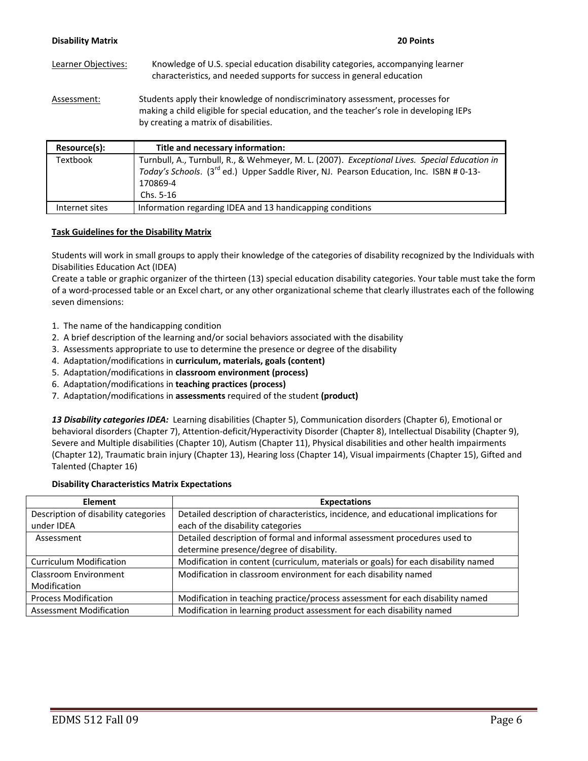| <b>Disability Matrix</b> | 20 Points                                                                                                                                                                                                          |
|--------------------------|--------------------------------------------------------------------------------------------------------------------------------------------------------------------------------------------------------------------|
| Learner Objectives:      | Knowledge of U.S. special education disability categories, accompanying learner<br>characteristics, and needed supports for success in general education                                                           |
| Assessment:              | Students apply their knowledge of nondiscriminatory assessment, processes for<br>making a child eligible for special education, and the teacher's role in developing IEPs<br>by creating a matrix of disabilities. |

| Resource(s):   | Title and necessary information:                                                                                                                                                                                              |
|----------------|-------------------------------------------------------------------------------------------------------------------------------------------------------------------------------------------------------------------------------|
| Textbook       | Turnbull, A., Turnbull, R., & Wehmeyer, M. L. (2007). Exceptional Lives. Special Education in<br>Today's Schools. (3 <sup>rd</sup> ed.) Upper Saddle River, NJ. Pearson Education, Inc. ISBN # 0-13-<br>170869-4<br>Chs. 5-16 |
| Internet sites | Information regarding IDEA and 13 handicapping conditions                                                                                                                                                                     |

## **Task Guidelines for the Disability Matrix**

 Students will work in small groups to apply their knowledge of the categories of disability recognized by the Individuals with Disabilities Education Act (IDEA)

 Create a table or graphic organizer of the thirteen (13) special education disability categories. Your table must take the form of a word‐processed table or an Excel chart, or any other organizational scheme that clearly illustrates each of the following seven dimensions:

- 1. The name of the handicapping condition
- 2. A brief description of the learning and/or social behaviors associated with the disability
- 3. Assessments appropriate to use to determine the presence or degree of the disability
- 4. Adaptation/modifications in **curriculum, materials, goals (content)**
- 5. Adaptation/modifications in **classroom environment (process)**
- 6. Adaptation/modifications in **teaching practices (process)**
- 7. Adaptation/modifications in **assessments** required of the student **(product)**

 *13 Disability categories IDEA:* Learning disabilities (Chapter 5), Communication disorders (Chapter 6), Emotional or behavioral disorders (Chapter 7), Attention‐deficit/Hyperactivity Disorder (Chapter 8), Intellectual Disability (Chapter 9), Severe and Multiple disabilities (Chapter 10), Autism (Chapter 11), Physical disabilities and other health impairments (Chapter 12), Traumatic brain injury (Chapter 13), Hearing loss (Chapter 14), Visual impairments (Chapter 15), Gifted and Talented (Chapter 16)

### **Disability Characteristics Matrix Expectations**

| <b>Element</b>                       | <b>Expectations</b>                                                                  |
|--------------------------------------|--------------------------------------------------------------------------------------|
| Description of disability categories | Detailed description of characteristics, incidence, and educational implications for |
| under IDEA                           | each of the disability categories                                                    |
| Assessment                           | Detailed description of formal and informal assessment procedures used to            |
|                                      | determine presence/degree of disability.                                             |
| <b>Curriculum Modification</b>       | Modification in content (curriculum, materials or goals) for each disability named   |
| <b>Classroom Environment</b>         | Modification in classroom environment for each disability named                      |
| Modification                         |                                                                                      |
| <b>Process Modification</b>          | Modification in teaching practice/process assessment for each disability named       |
| <b>Assessment Modification</b>       | Modification in learning product assessment for each disability named                |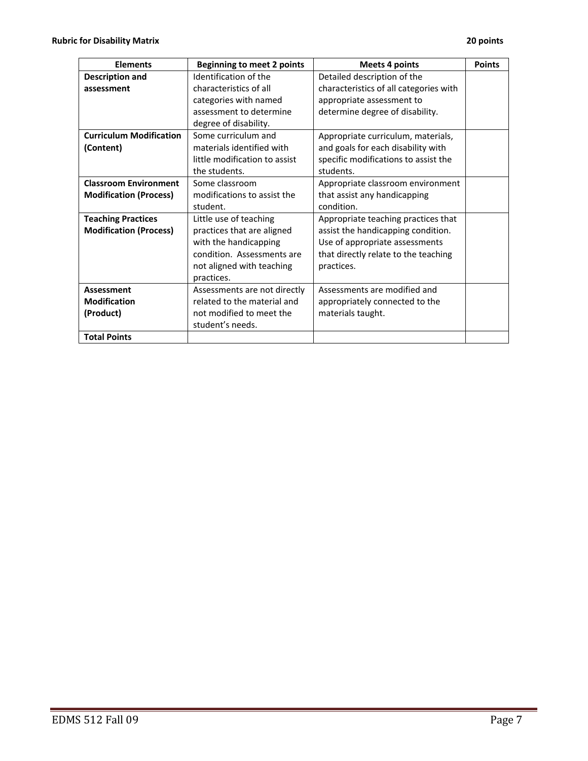| <b>Elements</b>                | <b>Beginning to meet 2 points</b> | <b>Meets 4 points</b>                  | <b>Points</b> |
|--------------------------------|-----------------------------------|----------------------------------------|---------------|
| <b>Description and</b>         | Identification of the             | Detailed description of the            |               |
| assessment                     | characteristics of all            | characteristics of all categories with |               |
|                                | categories with named             | appropriate assessment to              |               |
|                                | assessment to determine           | determine degree of disability.        |               |
|                                | degree of disability.             |                                        |               |
| <b>Curriculum Modification</b> | Some curriculum and               | Appropriate curriculum, materials,     |               |
| (Content)                      | materials identified with         | and goals for each disability with     |               |
|                                | little modification to assist     | specific modifications to assist the   |               |
|                                | the students.                     | students.                              |               |
| <b>Classroom Environment</b>   | Some classroom                    | Appropriate classroom environment      |               |
| <b>Modification (Process)</b>  | modifications to assist the       | that assist any handicapping           |               |
|                                | student.                          | condition.                             |               |
| <b>Teaching Practices</b>      | Little use of teaching            | Appropriate teaching practices that    |               |
| <b>Modification (Process)</b>  | practices that are aligned        | assist the handicapping condition.     |               |
|                                | with the handicapping             | Use of appropriate assessments         |               |
|                                | condition. Assessments are        | that directly relate to the teaching   |               |
|                                | not aligned with teaching         | practices.                             |               |
|                                | practices.                        |                                        |               |
| <b>Assessment</b>              | Assessments are not directly      | Assessments are modified and           |               |
| <b>Modification</b>            | related to the material and       | appropriately connected to the         |               |
| (Product)                      | not modified to meet the          | materials taught.                      |               |
|                                | student's needs.                  |                                        |               |
| <b>Total Points</b>            |                                   |                                        |               |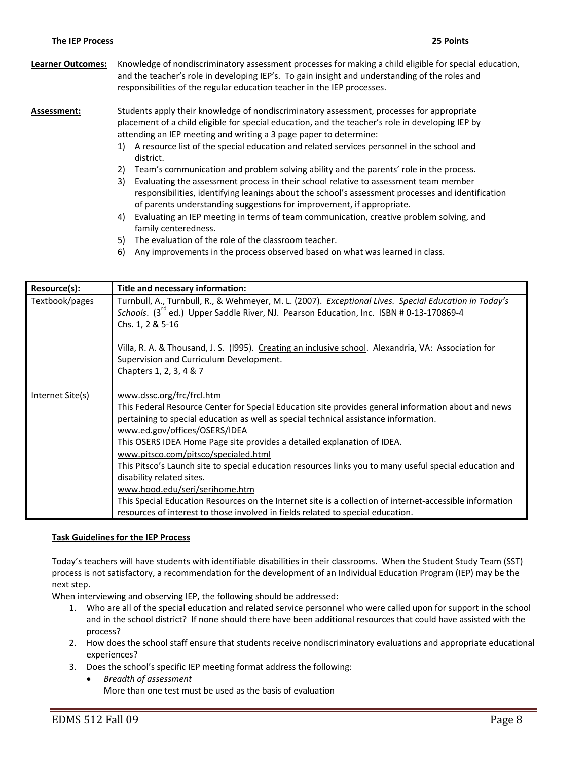- **Learner Outcomes:** Knowledge of nondiscriminatory assessment processes for making a child eligible for special education, and the teacher's role in developing IEP's. To gain insight and understanding of the roles and responsibilities of the regular education teacher in the IEP processes. **Assessment:** Students apply their knowledge of nondiscriminatory assessment, processes for appropriate placement of a child eligible for special education, and the teacher's role in developing IEP by attending an IEP meeting and writing a 3 page paper to determine: 1) A resource list of the special education and related services personnel in the school and 2) Team's communication and problem solving ability and the parents' role in the process. 3) Evaluating the assessment process in their school relative to assessment team member responsibilities, identifying leanings about the school's assessment processes and identification of parents understanding suggestions for improvement, if appropriate. district.
	- 4) Evaluating an IEP meeting in terms of team communication, creative problem solving, and family centeredness.
	- 5) The evaluation of the role of the classroom teacher.
	- 6) Any improvements in the process observed based on what was learned in class.

| Resource(s):     | Title and necessary information:                                                                                                                                                                                                                                                                                                                                                                                                                                                                                                                                                                                                                                                                                                                      |
|------------------|-------------------------------------------------------------------------------------------------------------------------------------------------------------------------------------------------------------------------------------------------------------------------------------------------------------------------------------------------------------------------------------------------------------------------------------------------------------------------------------------------------------------------------------------------------------------------------------------------------------------------------------------------------------------------------------------------------------------------------------------------------|
| Textbook/pages   | Turnbull, A., Turnbull, R., & Wehmeyer, M. L. (2007). Exceptional Lives. Special Education in Today's<br>Schools. (3 <sup>rd</sup> ed.) Upper Saddle River, NJ. Pearson Education, Inc. ISBN # 0-13-170869-4<br>Chs. 1, 2 & 5-16                                                                                                                                                                                                                                                                                                                                                                                                                                                                                                                      |
|                  | Villa, R. A. & Thousand, J. S. (1995). Creating an inclusive school. Alexandria, VA: Association for<br>Supervision and Curriculum Development.<br>Chapters 1, 2, 3, 4 & 7                                                                                                                                                                                                                                                                                                                                                                                                                                                                                                                                                                            |
| Internet Site(s) | www.dssc.org/frc/frcl.htm<br>This Federal Resource Center for Special Education site provides general information about and news<br>pertaining to special education as well as special technical assistance information.<br>www.ed.gov/offices/OSERS/IDEA<br>This OSERS IDEA Home Page site provides a detailed explanation of IDEA.<br>www.pitsco.com/pitsco/specialed.html<br>This Pitsco's Launch site to special education resources links you to many useful special education and<br>disability related sites.<br>www.hood.edu/seri/serihome.htm<br>This Special Education Resources on the Internet site is a collection of internet-accessible information<br>resources of interest to those involved in fields related to special education. |

### **Task Guidelines for the IEP Process**

 Today's teachers will have students with identifiable disabilities in their classrooms. When the Student Study Team (SST) process is not satisfactory, a recommendation for the development of an Individual Education Program (IEP) may be the next step.

When interviewing and observing IEP, the following should be addressed:

- 1. Who are all of the special education and related service personnel who were called upon for support in the school and in the school district? If none should there have been additional resources that could have assisted with the process?
- 2. How does the school staff ensure that students receive nondiscriminatory evaluations and appropriate educational experiences?
- 3. Does the school's specific IEP meeting format address the following:
	- • *Breadth of assessment* More than one test must be used as the basis of evaluation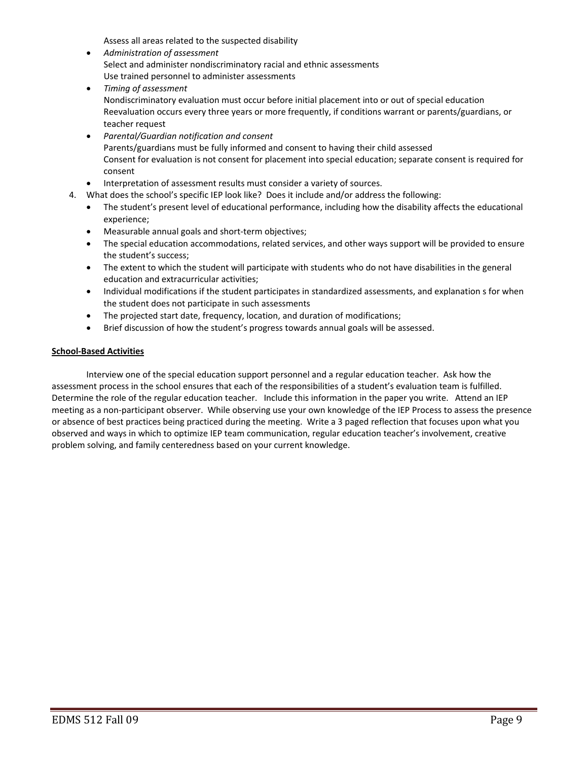Assess all areas related to the suspected disability

- • *Administration of assessment* Select and administer nondiscriminatory racial and ethnic assessments Use trained personnel to administer assessments
- • *Timing of assessment* Nondiscriminatory evaluation must occur before initial placement into or out of special education Reevaluation occurs every three years or more frequently, if conditions warrant or parents/guardians, or teacher request
- • *Parental/Guardian notification and consent* Parents/guardians must be fully informed and consent to having their child assessed Consent for evaluation is not consent for placement into special education; separate consent is required for consent
- Interpretation of assessment results must consider a variety of sources.
- 4. What does the school's specific IEP look like? Does it include and/or address the following:
	- • The student's present level of educational performance, including how the disability affects the educational experience;
	- Measurable annual goals and short-term objectives;
	- The special education accommodations, related services, and other ways support will be provided to ensure the student's success;
	- The extent to which the student will participate with students who do not have disabilities in the general education and extracurricular activities;
	- • Individual modifications if the student participates in standardized assessments, and explanation s for when the student does not participate in such assessments
	- The projected start date, frequency, location, and duration of modifications;
	- Brief discussion of how the student's progress towards annual goals will be assessed.

#### **School‐Based Activities**

 Interview one of the special education support personnel and a regular education teacher. Ask how the assessment process in the school ensures that each of the responsibilities of a student's evaluation team is fulfilled. Determine the role of the regular education teacher. Include this information in the paper you write. Attend an IEP meeting as a non‐participant observer. While observing use your own knowledge of the IEP Process to assess the presence or absence of best practices being practiced during the meeting. Write a 3 paged reflection that focuses upon what you observed and ways in which to optimize IEP team communication, regular education teacher's involvement, creative problem solving, and family centeredness based on your current knowledge.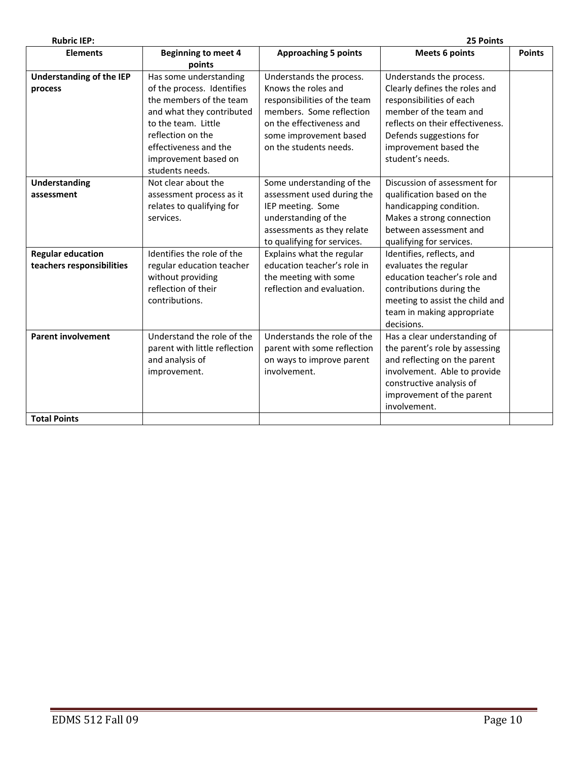| <b>Rubric IEP:</b>                                    |                                                                                                                                                                                                                              |                                                                                                                                                                                             | 25 Points                                                                                                                                                                                                                   |               |
|-------------------------------------------------------|------------------------------------------------------------------------------------------------------------------------------------------------------------------------------------------------------------------------------|---------------------------------------------------------------------------------------------------------------------------------------------------------------------------------------------|-----------------------------------------------------------------------------------------------------------------------------------------------------------------------------------------------------------------------------|---------------|
| <b>Elements</b>                                       | <b>Beginning to meet 4</b><br>points                                                                                                                                                                                         | <b>Approaching 5 points</b>                                                                                                                                                                 | <b>Meets 6 points</b>                                                                                                                                                                                                       | <b>Points</b> |
| <b>Understanding of the IEP</b><br>process            | Has some understanding<br>of the process. Identifies<br>the members of the team<br>and what they contributed<br>to the team. Little<br>reflection on the<br>effectiveness and the<br>improvement based on<br>students needs. | Understands the process.<br>Knows the roles and<br>responsibilities of the team<br>members. Some reflection<br>on the effectiveness and<br>some improvement based<br>on the students needs. | Understands the process.<br>Clearly defines the roles and<br>responsibilities of each<br>member of the team and<br>reflects on their effectiveness.<br>Defends suggestions for<br>improvement based the<br>student's needs. |               |
| Understanding<br>assessment                           | Not clear about the<br>assessment process as it<br>relates to qualifying for<br>services.                                                                                                                                    | Some understanding of the<br>assessment used during the<br>IEP meeting. Some<br>understanding of the<br>assessments as they relate<br>to qualifying for services.                           | Discussion of assessment for<br>qualification based on the<br>handicapping condition.<br>Makes a strong connection<br>between assessment and<br>qualifying for services.                                                    |               |
| <b>Regular education</b><br>teachers responsibilities | Identifies the role of the<br>regular education teacher<br>without providing<br>reflection of their<br>contributions.                                                                                                        | Explains what the regular<br>education teacher's role in<br>the meeting with some<br>reflection and evaluation.                                                                             | Identifies, reflects, and<br>evaluates the regular<br>education teacher's role and<br>contributions during the<br>meeting to assist the child and<br>team in making appropriate<br>decisions.                               |               |
| <b>Parent involvement</b>                             | Understand the role of the<br>parent with little reflection<br>and analysis of<br>improvement.                                                                                                                               | Understands the role of the<br>parent with some reflection<br>on ways to improve parent<br>involvement.                                                                                     | Has a clear understanding of<br>the parent's role by assessing<br>and reflecting on the parent<br>involvement. Able to provide<br>constructive analysis of<br>improvement of the parent<br>involvement.                     |               |
| <b>Total Points</b>                                   |                                                                                                                                                                                                                              |                                                                                                                                                                                             |                                                                                                                                                                                                                             |               |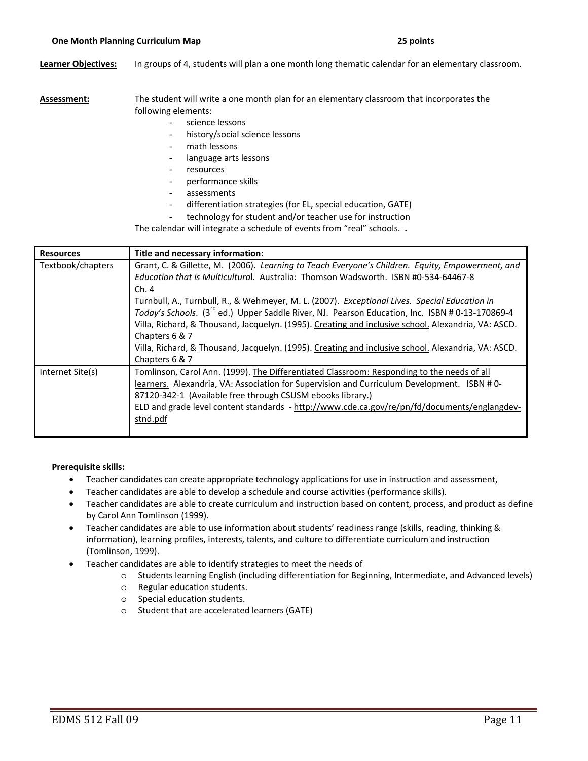**Learner Objectives:** In groups of 4, students will plan a one month long thematic calendar for an elementary classroom.

 **Assessment:** The student will write a one month plan for an elementary classroom that incorporates the following elements:

- science lessons
- history/social science lessons
- math lessons
- language arts lessons
- resources
- performance skills
- assessments
- differentiation strategies (for EL, special education, GATE)
- technology for student and/or teacher use for instruction

The calendar will integrate a schedule of events from "real" schools. **.**

| <b>Resources</b>                                                                                                      | Title and necessary information:                                                                            |
|-----------------------------------------------------------------------------------------------------------------------|-------------------------------------------------------------------------------------------------------------|
| Textbook/chapters<br>Grant, C. & Gillette, M. (2006). Learning to Teach Everyone's Children. Equity, Empowerment, and |                                                                                                             |
|                                                                                                                       | Education that is Multicultural. Australia: Thomson Wadsworth. ISBN #0-534-64467-8                          |
|                                                                                                                       | Ch.4                                                                                                        |
|                                                                                                                       | Turnbull, A., Turnbull, R., & Wehmeyer, M. L. (2007). Exceptional Lives. Special Education in               |
|                                                                                                                       | Today's Schools. (3 <sup>rd</sup> ed.) Upper Saddle River, NJ. Pearson Education, Inc. ISBN # 0-13-170869-4 |
|                                                                                                                       | Villa, Richard, & Thousand, Jacquelyn. (1995). Creating and inclusive school. Alexandria, VA: ASCD.         |
|                                                                                                                       | Chapters 6 & 7                                                                                              |
|                                                                                                                       | Villa, Richard, & Thousand, Jacquelyn. (1995). Creating and inclusive school. Alexandria, VA: ASCD.         |
|                                                                                                                       | Chapters 6 & 7                                                                                              |
| Internet Site(s)                                                                                                      | Tomlinson, Carol Ann. (1999). The Differentiated Classroom: Responding to the needs of all                  |
|                                                                                                                       | learners. Alexandria, VA: Association for Supervision and Curriculum Development. ISBN #0-                  |
|                                                                                                                       | 87120-342-1 (Available free through CSUSM ebooks library.)                                                  |
|                                                                                                                       | ELD and grade level content standards - http://www.cde.ca.gov/re/pn/fd/documents/englangdev-                |
|                                                                                                                       | stnd.pdf                                                                                                    |
|                                                                                                                       |                                                                                                             |

#### **Prerequisite skills:**

- • Teacher candidates can create appropriate technology applications for use in instruction and assessment,
- • Teacher candidates are able to develop a schedule and course activities (performance skills).
- • Teacher candidates are able to create curriculum and instruction based on content, process, and product as define by Carol Ann Tomlinson (1999).
- • Teacher candidates are able to use information about students' readiness range (skills, reading, thinking & information), learning profiles, interests, talents, and culture to differentiate curriculum and instruction (Tomlinson, 1999).
- • Teacher candidates are able to identify strategies to meet the needs of
	- o Students learning English (including differentiation for Beginning, Intermediate, and Advanced levels)
	- o Regular education students.
	- o Special education students.
	- o Student that are accelerated learners (GATE)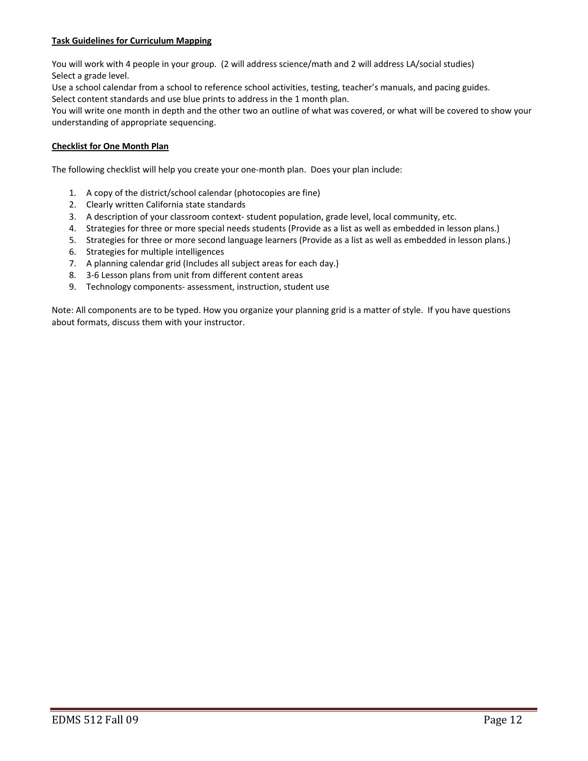### **Task Guidelines for Curriculum Mapping**

 You will work with 4 people in your group. (2 will address science/math and 2 will address LA/social studies) Select a grade level.

Use a school calendar from a school to reference school activities, testing, teacher's manuals, and pacing guides.

 Select content standards and use blue prints to address in the 1 month plan. You will write one month in depth and the other two an outline of what was covered, or what will be covered to show your

understanding of appropriate sequencing.

## **Checklist for One Month Plan**

The following checklist will help you create your one‐month plan. Does your plan include:

- 1. A copy of the district/school calendar (photocopies are fine)
- 2. Clearly written California state standards
- 3. A description of your classroom context‐ student population, grade level, local community, etc.
- 4. Strategies for three or more special needs students (Provide as a list as well as embedded in lesson plans.)
- 5. Strategies for three or more second language learners (Provide as a list as well as embedded in lesson plans.)
- 6. Strategies for multiple intelligences
- 7. A planning calendar grid (Includes all subject areas for each day.)
- 8. 3‐6 Lesson plans from unit from different content areas
- 9. Technology components‐ assessment, instruction, student use

 Note: All components are to be typed. How you organize your planning grid is a matter of style. If you have questions about formats, discuss them with your instructor.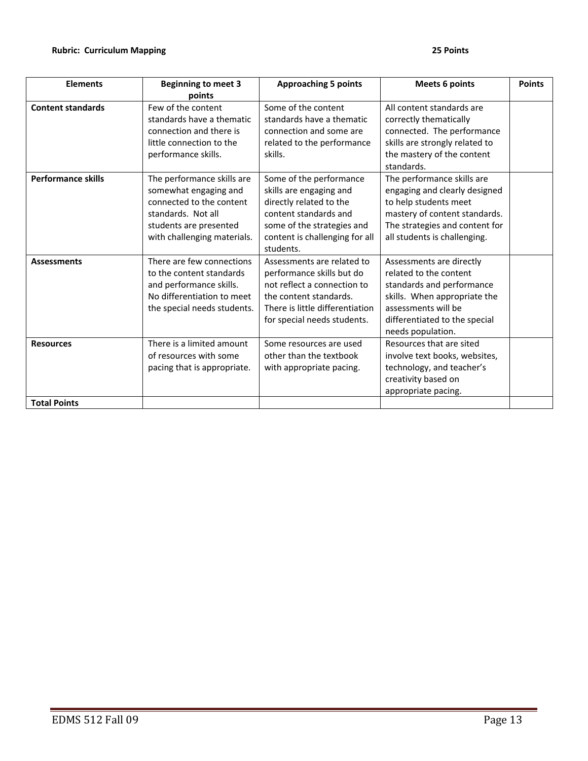| <b>Elements</b>                         | <b>Beginning to meet 3</b>                                                                                                                                     | <b>Approaching 5 points</b>                                                                                                                                                         | <b>Meets 6 points</b>                                                                                                                                                                        | <b>Points</b> |
|-----------------------------------------|----------------------------------------------------------------------------------------------------------------------------------------------------------------|-------------------------------------------------------------------------------------------------------------------------------------------------------------------------------------|----------------------------------------------------------------------------------------------------------------------------------------------------------------------------------------------|---------------|
|                                         | points                                                                                                                                                         |                                                                                                                                                                                     |                                                                                                                                                                                              |               |
| <b>Content standards</b>                | Few of the content<br>standards have a thematic<br>connection and there is<br>little connection to the<br>performance skills.                                  | Some of the content<br>standards have a thematic<br>connection and some are<br>related to the performance<br>skills.                                                                | All content standards are<br>correctly thematically<br>connected. The performance<br>skills are strongly related to<br>the mastery of the content<br>standards.                              |               |
| <b>Performance skills</b>               | The performance skills are<br>somewhat engaging and<br>connected to the content<br>standards. Not all<br>students are presented<br>with challenging materials. | Some of the performance<br>skills are engaging and<br>directly related to the<br>content standards and<br>some of the strategies and<br>content is challenging for all<br>students. | The performance skills are<br>engaging and clearly designed<br>to help students meet<br>mastery of content standards.<br>The strategies and content for<br>all students is challenging.      |               |
| <b>Assessments</b>                      | There are few connections<br>to the content standards<br>and performance skills.<br>No differentiation to meet<br>the special needs students.                  | Assessments are related to<br>performance skills but do<br>not reflect a connection to<br>the content standards.<br>There is little differentiation<br>for special needs students.  | Assessments are directly<br>related to the content<br>standards and performance<br>skills. When appropriate the<br>assessments will be<br>differentiated to the special<br>needs population. |               |
| <b>Resources</b><br><b>Total Points</b> | There is a limited amount<br>of resources with some<br>pacing that is appropriate.                                                                             | Some resources are used<br>other than the textbook<br>with appropriate pacing.                                                                                                      | Resources that are sited<br>involve text books, websites,<br>technology, and teacher's<br>creativity based on<br>appropriate pacing.                                                         |               |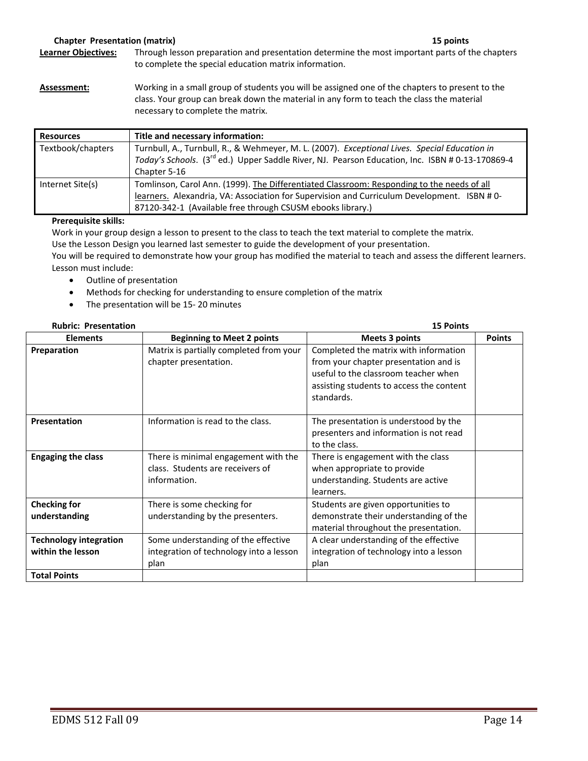# **Chapter Presentation (matrix) 15 points**

- **Learner Objectives:** Through lesson preparation and presentation determine the most important parts of the chapters to complete the special education matrix information.
- **Assessment:** Working in a small group of students you will be assigned one of the chapters to present to the class. Your group can break down the material in any form to teach the class the material necessary to complete the matrix.

| <b>Resources</b>  | Title and necessary information:                                                                                                                         |  |  |
|-------------------|----------------------------------------------------------------------------------------------------------------------------------------------------------|--|--|
| Textbook/chapters | Turnbull, A., Turnbull, R., & Wehmeyer, M. L. (2007). Exceptional Lives. Special Education in                                                            |  |  |
|                   | Today's Schools. (3 <sup>rd</sup> ed.) Upper Saddle River, NJ. Pearson Education, Inc. ISBN # 0-13-170869-4                                              |  |  |
|                   | Chapter 5-16                                                                                                                                             |  |  |
| Internet Site(s)  | Tomlinson, Carol Ann. (1999). The Differentiated Classroom: Responding to the needs of all                                                               |  |  |
|                   | learners. Alexandria, VA: Association for Supervision and Curriculum Development. ISBN #0-<br>87120-342-1 (Available free through CSUSM ebooks library.) |  |  |
|                   |                                                                                                                                                          |  |  |

## **Prerequisite skills:**

 Work in your group design a lesson to present to the class to teach the text material to complete the matrix. Use the Lesson Design you learned last semester to guide the development of your presentation.

 You will be required to demonstrate how your group has modified the material to teach and assess the different learners. Lesson must include:

- Outline of presentation
- Methods for checking for understanding to ensure completion of the matrix
- The presentation will be 15-20 minutes

| <b>Rubric: Presentation</b>                        |                                                                                          | <b>15 Points</b>                                                                                                                                                                 |               |  |
|----------------------------------------------------|------------------------------------------------------------------------------------------|----------------------------------------------------------------------------------------------------------------------------------------------------------------------------------|---------------|--|
| <b>Elements</b>                                    | <b>Beginning to Meet 2 points</b>                                                        | <b>Meets 3 points</b>                                                                                                                                                            | <b>Points</b> |  |
| Preparation                                        | Matrix is partially completed from your<br>chapter presentation.                         | Completed the matrix with information<br>from your chapter presentation and is<br>useful to the classroom teacher when<br>assisting students to access the content<br>standards. |               |  |
| Presentation                                       | Information is read to the class.                                                        | The presentation is understood by the<br>presenters and information is not read<br>to the class.                                                                                 |               |  |
| <b>Engaging the class</b>                          | There is minimal engagement with the<br>class. Students are receivers of<br>information. | There is engagement with the class<br>when appropriate to provide<br>understanding. Students are active<br>learners.                                                             |               |  |
| <b>Checking for</b><br>understanding               | There is some checking for<br>understanding by the presenters.                           | Students are given opportunities to<br>demonstrate their understanding of the<br>material throughout the presentation.                                                           |               |  |
| <b>Technology integration</b><br>within the lesson | Some understanding of the effective<br>integration of technology into a lesson<br>plan   | A clear understanding of the effective<br>integration of technology into a lesson<br>plan                                                                                        |               |  |
| <b>Total Points</b>                                |                                                                                          |                                                                                                                                                                                  |               |  |